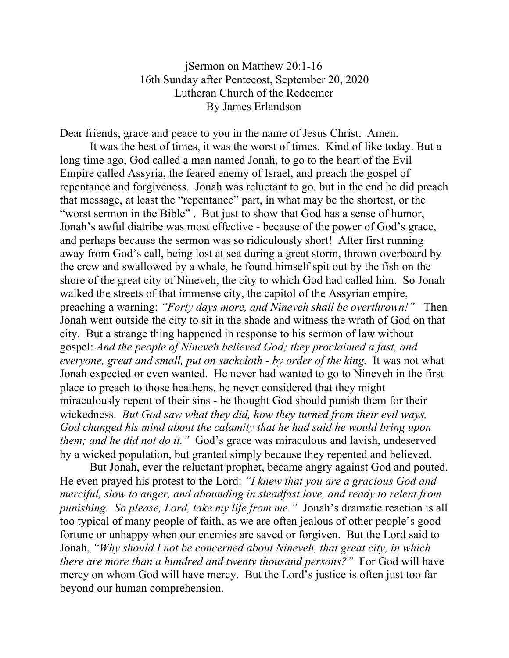## jSermon on Matthew 20:1-16 16th Sunday after Pentecost, September 20, 2020 Lutheran Church of the Redeemer By James Erlandson

Dear friends, grace and peace to you in the name of Jesus Christ. Amen.

It was the best of times, it was the worst of times. Kind of like today. But a long time ago, God called a man named Jonah, to go to the heart of the Evil Empire called Assyria, the feared enemy of Israel, and preach the gospel of repentance and forgiveness. Jonah was reluctant to go, but in the end he did preach that message, at least the "repentance" part, in what may be the shortest, or the "worst sermon in the Bible" . But just to show that God has a sense of humor, Jonah's awful diatribe was most effective - because of the power of God's grace, and perhaps because the sermon was so ridiculously short! After first running away from God's call, being lost at sea during a great storm, thrown overboard by the crew and swallowed by a whale, he found himself spit out by the fish on the shore of the great city of Nineveh, the city to which God had called him. So Jonah walked the streets of that immense city, the capitol of the Assyrian empire, preaching a warning: *"Forty days more, and Nineveh shall be overthrown!"* Then Jonah went outside the city to sit in the shade and witness the wrath of God on that city. But a strange thing happened in response to his sermon of law without gospel: *And the people of Nineveh believed God; they proclaimed a fast, and everyone, great and small, put on sackcloth - by order of the king.* It was not what Jonah expected or even wanted. He never had wanted to go to Nineveh in the first place to preach to those heathens, he never considered that they might miraculously repent of their sins - he thought God should punish them for their wickedness. *But God saw what they did, how they turned from their evil ways, God changed his mind about the calamity that he had said he would bring upon them; and he did not do it."* God's grace was miraculous and lavish, undeserved by a wicked population, but granted simply because they repented and believed.

But Jonah, ever the reluctant prophet, became angry against God and pouted. He even prayed his protest to the Lord: *"I knew that you are a gracious God and merciful, slow to anger, and abounding in steadfast love, and ready to relent from punishing. So please, Lord, take my life from me."* Jonah's dramatic reaction is all too typical of many people of faith, as we are often jealous of other people's good fortune or unhappy when our enemies are saved or forgiven. But the Lord said to Jonah, *"Why should I not be concerned about Nineveh, that great city, in which there are more than a hundred and twenty thousand persons?"* For God will have mercy on whom God will have mercy. But the Lord's justice is often just too far beyond our human comprehension.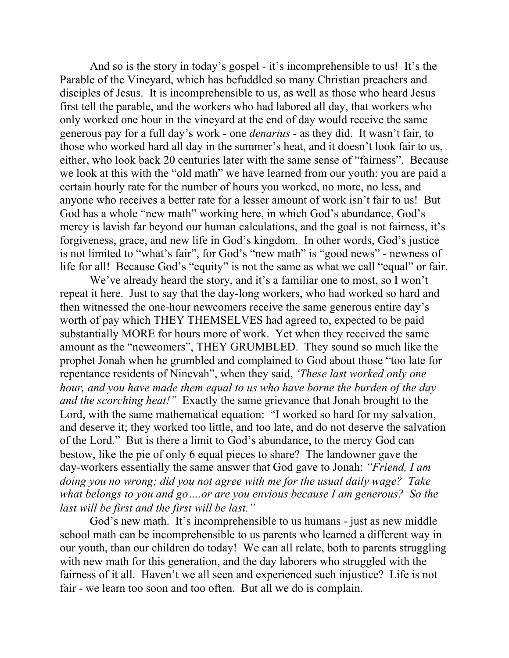And so is the story in today's gospel - it's incomprehensible to us! It's the Parable of the Vineyard, which has befuddled so many Christian preachers and disciples of Jesus. It is incomprehensible to us, as well as those who heard Jesus first tell the parable, and the workers who had labored all day, that workers who only worked one hour in the vineyard at the end of day would receive the same generous pay for a full day's work - one *denarius -* as they did. It wasn't fair, to those who worked hard all day in the summer's heat, and it doesn't look fair to us, either, who look back 20 centuries later with the same sense of "fairness". Because we look at this with the "old math" we have learned from our youth: you are paid a certain hourly rate for the number of hours you worked, no more, no less, and anyone who receives a better rate for a lesser amount of work isn't fair to us! But God has a whole "new math" working here, in which God's abundance, God's mercy is lavish far beyond our human calculations, and the goal is not fairness, it's forgiveness, grace, and new life in God's kingdom. In other words, God's justice is not limited to "what's fair", for God's "new math" is "good news" - newness of life for all! Because God's "equity" is not the same as what we call "equal" or fair.

We've already heard the story, and it's a familiar one to most, so I won't repeat it here. Just to say that the day-long workers, who had worked so hard and then witnessed the one-hour newcomers receive the same generous entire day's worth of pay which THEY THEMSELVES had agreed to, expected to be paid substantially MORE for hours more of work. Yet when they received the same amount as the "newcomers", THEY GRUMBLED. They sound so much like the prophet Jonah when he grumbled and complained to God about those "too late for repentance residents of Ninevah", when they said, *'These last worked only one hour, and you have made them equal to us who have borne the burden of the day and the scorching heat!"* Exactly the same grievance that Jonah brought to the Lord, with the same mathematical equation: "I worked so hard for my salvation, and deserve it; they worked too little, and too late, and do not deserve the salvation of the Lord." But is there a limit to God's abundance, to the mercy God can bestow, like the pie of only 6 equal pieces to share? The landowner gave the day-workers essentially the same answer that God gave to Jonah: *"Friend, I am doing you no wrong; did you not agree with me for the usual daily wage? Take what belongs to you and go….or are you envious because I am generous? So the last will be first and the first will be last."*

God's new math. It's incomprehensible to us humans - just as new middle school math can be incomprehensible to us parents who learned a different way in our youth, than our children do today! We can all relate, both to parents struggling with new math for this generation, and the day laborers who struggled with the fairness of it all. Haven't we all seen and experienced such injustice? Life is not fair - we learn too soon and too often. But all we do is complain.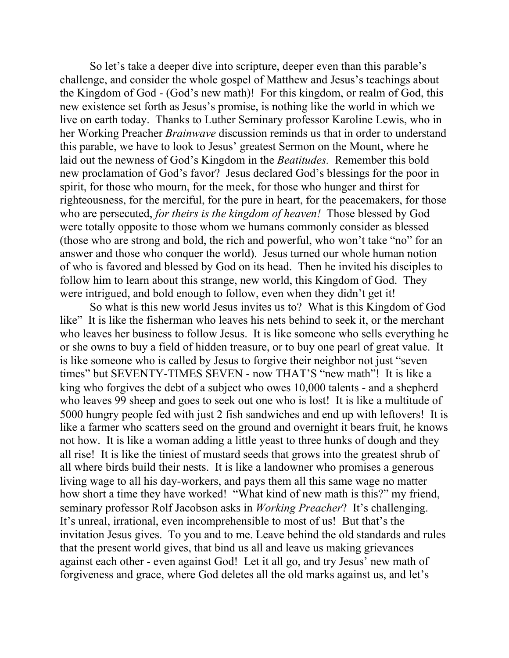So let's take a deeper dive into scripture, deeper even than this parable's challenge, and consider the whole gospel of Matthew and Jesus's teachings about the Kingdom of God - (God's new math)! For this kingdom, or realm of God, this new existence set forth as Jesus's promise, is nothing like the world in which we live on earth today. Thanks to Luther Seminary professor Karoline Lewis, who in her Working Preacher *Brainwave* discussion reminds us that in order to understand this parable, we have to look to Jesus' greatest Sermon on the Mount, where he laid out the newness of God's Kingdom in the *Beatitudes.* Remember this bold new proclamation of God's favor? Jesus declared God's blessings for the poor in spirit, for those who mourn, for the meek, for those who hunger and thirst for righteousness, for the merciful, for the pure in heart, for the peacemakers, for those who are persecuted, *for theirs is the kingdom of heaven!* Those blessed by God were totally opposite to those whom we humans commonly consider as blessed (those who are strong and bold, the rich and powerful, who won't take "no" for an answer and those who conquer the world). Jesus turned our whole human notion of who is favored and blessed by God on its head. Then he invited his disciples to follow him to learn about this strange, new world, this Kingdom of God. They were intrigued, and bold enough to follow, even when they didn't get it!

So what is this new world Jesus invites us to? What is this Kingdom of God like" It is like the fisherman who leaves his nets behind to seek it, or the merchant who leaves her business to follow Jesus. It is like someone who sells everything he or she owns to buy a field of hidden treasure, or to buy one pearl of great value. It is like someone who is called by Jesus to forgive their neighbor not just "seven times" but SEVENTY-TIMES SEVEN - now THAT'S "new math"! It is like a king who forgives the debt of a subject who owes 10,000 talents - and a shepherd who leaves 99 sheep and goes to seek out one who is lost! It is like a multitude of 5000 hungry people fed with just 2 fish sandwiches and end up with leftovers! It is like a farmer who scatters seed on the ground and overnight it bears fruit, he knows not how. It is like a woman adding a little yeast to three hunks of dough and they all rise! It is like the tiniest of mustard seeds that grows into the greatest shrub of all where birds build their nests. It is like a landowner who promises a generous living wage to all his day-workers, and pays them all this same wage no matter how short a time they have worked! "What kind of new math is this?" my friend, seminary professor Rolf Jacobson asks in *Working Preacher*? It's challenging. It's unreal, irrational, even incomprehensible to most of us! But that's the invitation Jesus gives. To you and to me. Leave behind the old standards and rules that the present world gives, that bind us all and leave us making grievances against each other - even against God! Let it all go, and try Jesus' new math of forgiveness and grace, where God deletes all the old marks against us, and let's